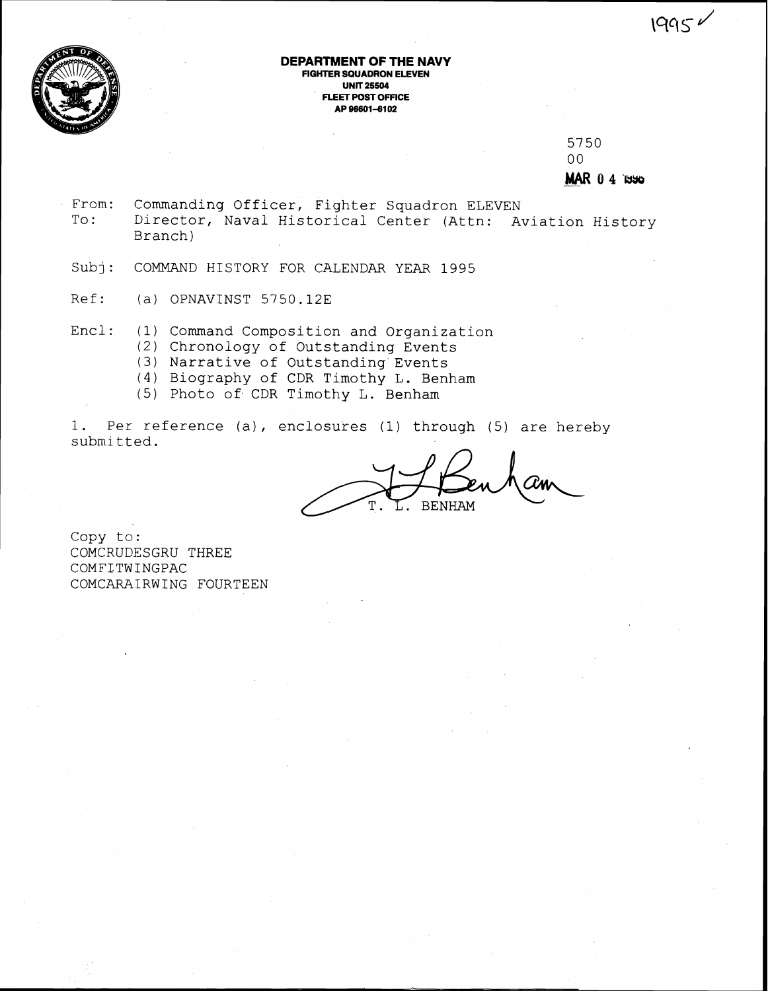



#### **DEPARTMENT OF THE NAVY FIGHTER SQUADRON ELEVEN UNIT 25504 FLEET POST OFFICE AP 966014102**

5750  $0<sub>0</sub>$ - MAR **0 4** 'lyyg

- From: Commanding Officer, Fighter Squadron ELEVEN<br>To: Director, Naval Historical Center (Attn: Am Director, Naval Historical Center (Attn: Aviation History Branch)
- Subj: COMMAND HISTORY FOR CALENDAR YEAR 1995
- Ref: (a) OPNAVINST 5750.12E
- Encl: (1) Command Composition and Organization
	- (2) Chronology of Outstanding Events
	- *(3)* Narrative of Outstanding Events
	- (4) Biography of CDR Timothy L. Benham
	- (5) Photo of CDR Timothy L. Benham

1. Per reference (a), enclosures (1) through (5) are hereby submitted.

**BENHAM** 

Copy to: COMCRUDESGRU THREE COMFITWINGPAC COMCARATRWING FOURTEEN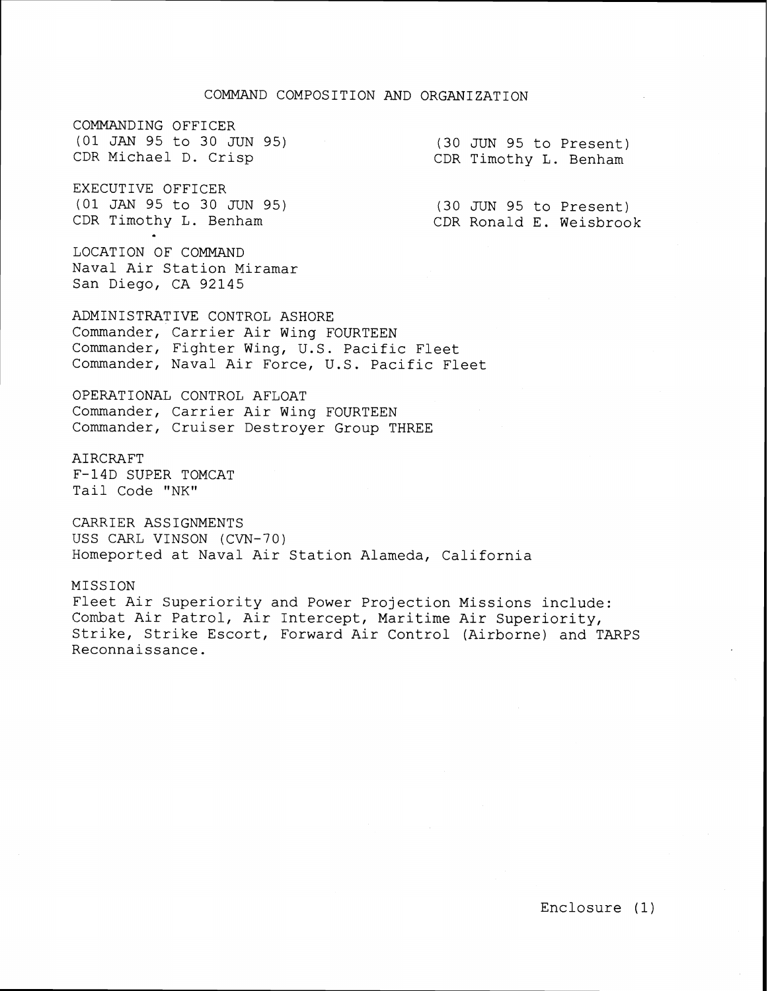COMMANDING OFFICER (01 JAN 95 to 30 JUN 95) CDR Michael D. Crisp

EXECUTIVE OFFICER (01 JAN 95 to 30 JUN 95) CDR Timothy L. Benham

LOCATION OF COMMAND Naval Air Station Miramar San Diego, CA 92145

(30 JUN 95 to Present) CDR Timothy L. Benham

(30 JUN 95 to Present) CDR Ronald E. Weisbrook

ADMINISTRATIVE CONTROL ASHORE Commander, Carrier Air Wing FOURTEEN Commander, Fighter Wing, U. S. Pacific Fleet Commander, Naval Air Force, U.S. Pacific Fleet

OPERATIONAL CONTROL AFLOAT Commander, Carrier Air Wing FOURTEEN Commander, Cruiser Destroyer Group THREE

AIRCRAFT F-14D SUPER TOMCAT Tail Code "NK"

CARRIER ASSIGNMENTS USS CARL VINSON (CVN-70) Homeported at Naval Air Station Alameda, California

MISSION Fleet Air Superiority and Power Projection Missions include: Combat Air Patrol, Air Intercept, Maritime Air Superiority, Strike, Strike Escort, Forward Air Control (Airborne) and TARPS Reconnaissance.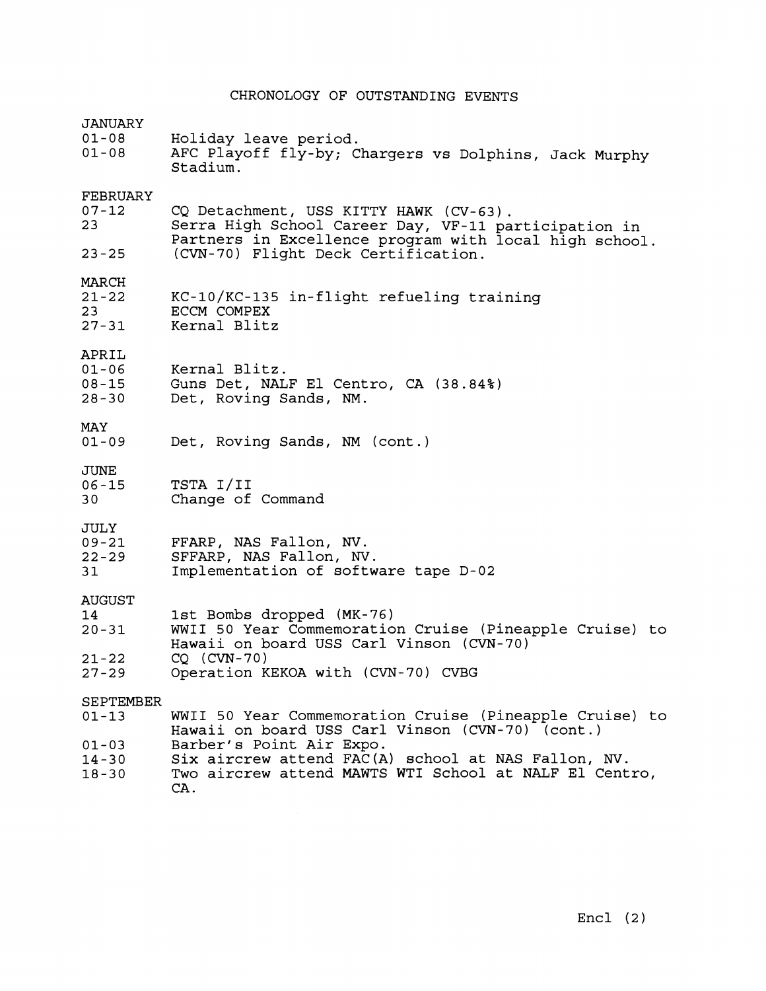|  |  | CHRONOLOGY OF OUTSTANDING EVENTS |  |  |
|--|--|----------------------------------|--|--|
|--|--|----------------------------------|--|--|

| $01 - 03$<br>$14 - 30$<br>$18 - 30$          | Barber's Point Air Expo.<br>Six aircrew attend FAC(A) school at NAS Fallon, NV.<br>Two aircrew attend MAWTS WTI School at NALF El Centro,<br>CA. |  |
|----------------------------------------------|--------------------------------------------------------------------------------------------------------------------------------------------------|--|
| SEPTEMBER<br>$01 - 13$                       | WWII 50 Year Commemoration Cruise (Pineapple Cruise) to<br>Hawaii on board USS Carl Vinson (CVN-70) (cont.)                                      |  |
| $21 - 22$<br>$27 - 29$                       | $CO$ (CVN-70)<br>Operation KEKOA with (CVN-70) CVBG                                                                                              |  |
| <b>AUGUST</b><br>14<br>$20 - 31$             | 1st Bombs dropped (MK-76)<br>WWII 50 Year Commemoration Cruise (Pineapple Cruise) to<br>Hawaii on board USS Carl Vinson (CVN-70)                 |  |
| JULY<br>$09 - 21$<br>$22 - 29$<br>31         | FFARP, NAS Fallon, NV.<br>SFFARP, NAS Fallon, NV.<br>Implementation of software tape D-02                                                        |  |
| JUNE<br>$06 - 15$<br>30                      | TSTA I/II<br>Change of Command                                                                                                                   |  |
| MAY<br>$01 - 09$                             | Det, Roving Sands, NM (cont.)                                                                                                                    |  |
| APRIL<br>$01 - 06$<br>$08 - 15$<br>$28 - 30$ | Kernal Blitz.<br>Guns Det, NALF El Centro, CA (38.84%)<br>Det, Roving Sands, NM.                                                                 |  |
| MARCH<br>$21 - 22$<br>23<br>$27 - 31$        | KC-10/KC-135 in-flight refueling training<br>ECCM COMPEX<br>Kernal Blitz                                                                         |  |
| $23 - 25$                                    | Partners in Excellence program with local high school.<br>(CVN-70) Flight Deck Certification.                                                    |  |
| FEBRUARY<br>$07 - 12$<br>23                  | CQ Detachment, USS KITTY HAWK (CV-63).<br>Serra High School Career Day, VF-11 participation in                                                   |  |
| <b>JANUARY</b><br>$01 - 08$<br>$01 - 08$     | Holiday leave period.<br>AFC Playoff fly-by; Chargers vs Dolphins, Jack Murphy<br>Stadium.                                                       |  |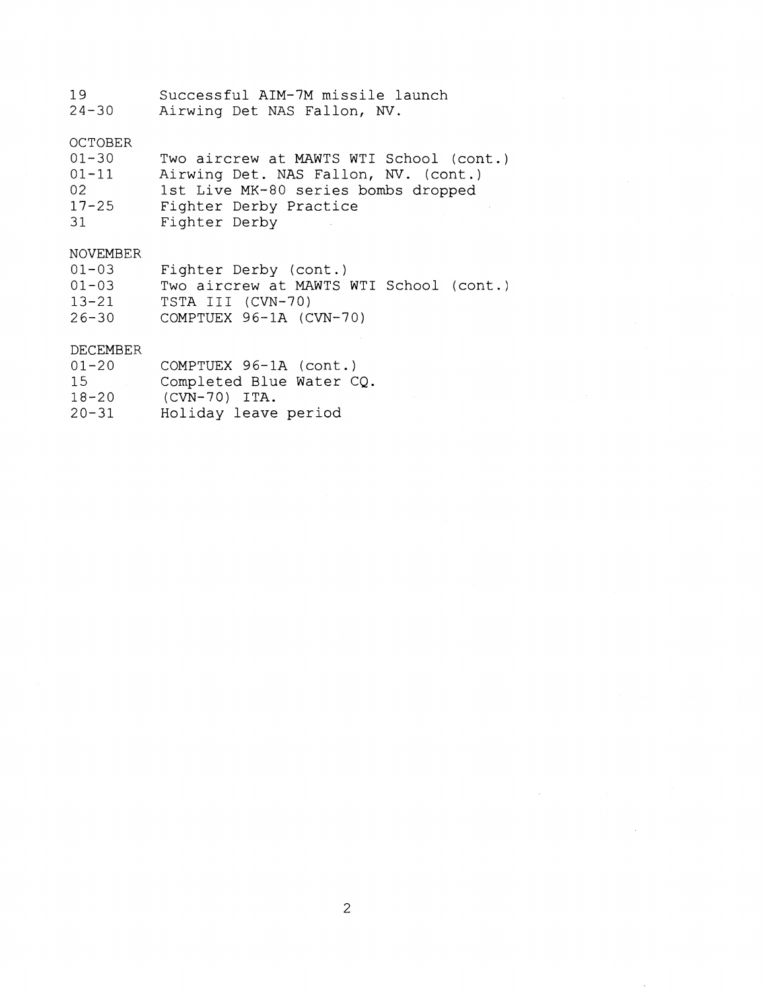- 19 Successful AIM-7M missile launch
- Airwing Det NAS Fallon, **W.**

# OCTOBER

| $01 - 30$ | Two aircrew at MAWTS WTI School (cont.) |
|-----------|-----------------------------------------|
| $01 - 11$ | Airwing Det. NAS Fallon, NV. (cont.)    |
| 02        | 1st Live MK-80 series bombs dropped     |
| $17 - 25$ | Fighter Derby Practice                  |
| 31        | Fighter Derby                           |

## NOVEMBER

| 01-03     | Fighter Derby (cont.)                   |
|-----------|-----------------------------------------|
| $01 - 03$ | Two aircrew at MAWTS WTI School (cont.) |
| 13-21     | TSTA III (CVN-70)                       |
| 26-30     | COMPTUEX $96-1A$ (CVN-70)               |

### DECEMBER

| DECEMBER  |                          |
|-----------|--------------------------|
| $01 - 20$ | COMPTUEX 96-1A (cont.)   |
| 15        | Completed Blue Water CQ. |

- 18-20 (CVN-70) ITA.
- 20-31 Holiday leave period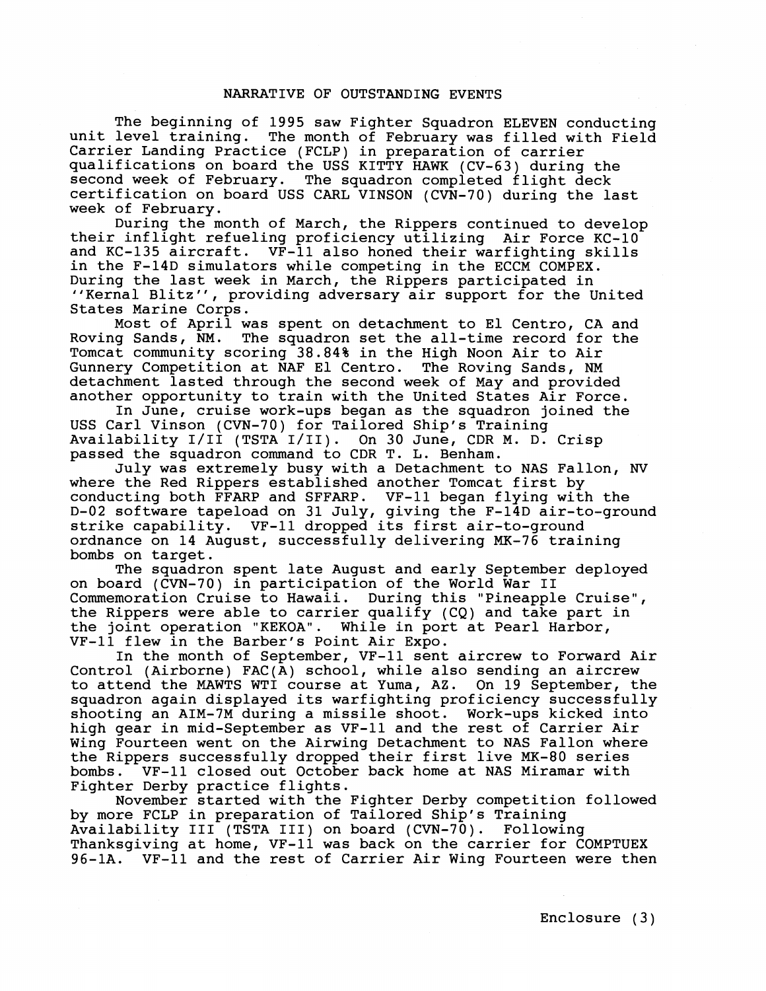#### NARRATIVE OF OUTSTANDING EVENTS

The beginning of 1995 saw Fighter Squadron ELEVEN conducting<br>unit level training. The month of February was filled with Field The month of February was filled with Field Carrier Landing Practice (FCLP) in preparation of carrier qualifications on board the USS KITTY HAWK (CV-63) during the second week of February. The squadron completed flight deck certification on board USS CARL VINSON (CVN-70) during the last week of February.

During the month of March, the Rippers continued to develop their inflight refueling proficiency utilizing Air Force KC-10 and KC-135 aircraft. VF-11 also honed their warfighting skills in the F-14D simulators while competing in the ECCM COMPEX. During the last week in March, the Rippers participated in "Kernal Blitz", providing adversary air support for the United States Marine Corps.

Most of April was spent on detachment to El Centro, CA and Roving Sands, NM. The squadron set the all-time record for the The squadron set the all-time record for the Tomcat community scoring 38.84% in the High Noon Air to Air Gunnery Competition at NAF El Centro. The Roving Sands, NM detachment lasted through the second week of May and provided another opportunity to train with the United States Air Force.

In June, cruise work-ups began as the squadron joined the USS Carl Vinson (CVN-70) for Tailored Ship's Training Availability 1/11 (TSTA 1/11). On 30 June, CDR M. D. Crisp passed the squadron command to CDR T. L. Benham.

July was extremely busy with a Detachment to NAS Fallon, **NV**  where the Red Rippers established another Tomcat first by<br>conducting both FFARP and SFFARP. VF-11 began flying with the conducting both FFARP and SFFARP. D-02 software tapeload on 31 July, giving the F-14D air-to-ground strike capability. VF-11 dropped its first air-to-ground ordnance on 14 August, successfully delivering MK-76 training bombs on target.

The squadron spent late August and early September deployed on board (CVN-70) in participation of the World War I1 Commemoration Cruise to Hawaii. During this "Pineapple Cruise", the Rippers were able to carrier qualify (CQ) and take part in the joint operation "KEKOA". While in port at Pearl Harbor, VF-11 flew in the Barber's Point Air Expo.

In the month of September, VF-11 sent aircrew to Forward Air Control (Airborne) FAC(A) school, while also sending an aircrew to attend the MAWTS WTI course at Yuma, AZ. On 19 September, the squadron again displayed its warfighting proficiency successfully shooting an AIM-7M during a missile shoot. Work-ups kicked into high gear in mid-September as VF-11 and the rest of Carrier Air Wing Fourteen went on the Airwing Detachment to NAS Fallon where the Rippers successfully dropped their first live MK-80 series<br>bombs. VF-11 closed out October back home at NAS Miramar with  $\sqrt{\text{VF}-11}$  closed out October back home at NAS Miramar with Fighter Derby practice flights.

November started with the Fighter Derby competition followed by more FCLP in preparation of Tailored Ship's Training Availability **I11** (TSTA 111) on board (CVN-70). Following Thanksgiving at home, VF-11 was back on the carrier for COMPTUEX 96-1A. VF-11 and the rest of Carrier Air Wing Fourteen were then

Enclosure (3)